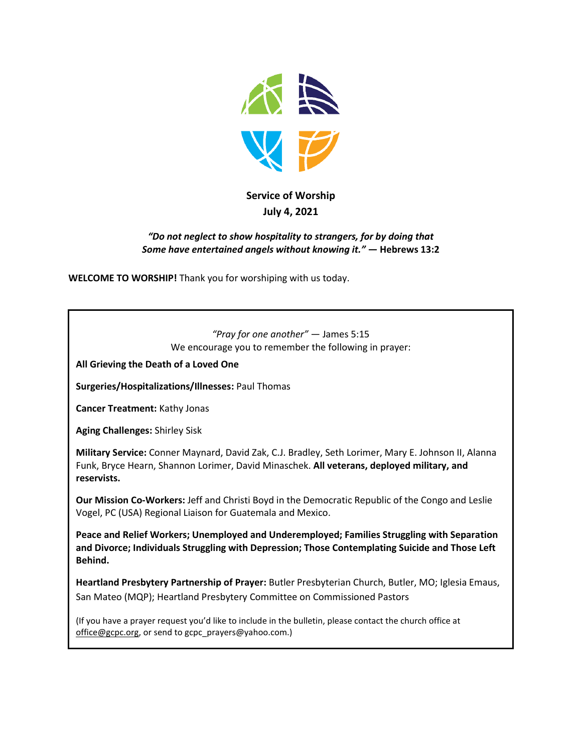

# **Service of Worship July 4, 2021**

#### *"Do not neglect to show hospitality to strangers, for by doing that Some have entertained angels without knowing it."* **— Hebrews 13:2**

**WELCOME TO WORSHIP!** Thank you for worshiping with us today.

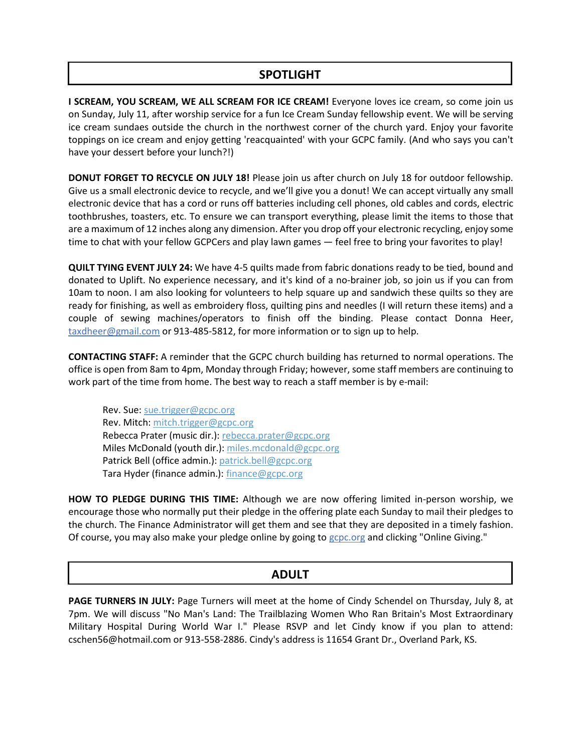## **SPOTLIGHT**

**I SCREAM, YOU SCREAM, WE ALL SCREAM FOR ICE CREAM!** Everyone loves ice cream, so come join us on Sunday, July 11, after worship service for a fun Ice Cream Sunday fellowship event. We will be serving ice cream sundaes outside the church in the northwest corner of the church yard. Enjoy your favorite toppings on ice cream and enjoy getting 'reacquainted' with your GCPC family. (And who says you can't have your dessert before your lunch?!)

**DONUT FORGET TO RECYCLE ON JULY 18!** Please join us after church on July 18 for outdoor fellowship. Give us a small electronic device to recycle, and we'll give you a donut! We can accept virtually any small electronic device that has a cord or runs off batteries including cell phones, old cables and cords, electric toothbrushes, toasters, etc. To ensure we can transport everything, please limit the items to those that are a maximum of 12 inches along any dimension. After you drop off your electronic recycling, enjoy some time to chat with your fellow GCPCers and play lawn games — feel free to bring your favorites to play!

**QUILT TYING EVENT JULY 24:** We have 4-5 quilts made from fabric donations ready to be tied, bound and donated to Uplift. No experience necessary, and it's kind of a no-brainer job, so join us if you can from 10am to noon. I am also looking for volunteers to help square up and sandwich these quilts so they are ready for finishing, as well as embroidery floss, quilting pins and needles (I will return these items) and a couple of sewing machines/operators to finish off the binding. Please contact Donna Heer, [taxdheer@gmail.com](mailto:taxdheer@gmail.com) or 913-485-5812, for more information or to sign up to help.

**CONTACTING STAFF:** A reminder that the GCPC church building has returned to normal operations. The office is open from 8am to 4pm, Monday through Friday; however, some staff members are continuing to work part of the time from home. The best way to reach a staff member is by e-mail:

Rev. Sue: [sue.trigger@gcpc.org](mailto:sue.trigger@gcpc.org) Rev. Mitch: [mitch.trigger@gcpc.org](mailto:mitch.trigger@gcpc.org) Rebecca Prater (music dir.): [rebecca.prater@gcpc.org](mailto:rebecca.prater@gcpc.org) Miles McDonald (youth dir.): [miles.mcdonald@gcpc.org](mailto:miles.mcdonald@gcpc.org) Patrick Bell (office admin.): [patrick.bell@gcpc.org](mailto:patrick.bell@gcpc.org) Tara Hyder (finance admin.): [finance@gcpc.org](mailto:finance@gcpc.org)

**HOW TO PLEDGE DURING THIS TIME:** Although we are now offering limited in-person worship, we encourage those who normally put their pledge in the offering plate each Sunday to mail their pledges to the church. The Finance Administrator will get them and see that they are deposited in a timely fashion. Of course, you may also make your pledge online by going to [gcpc.org](https://gcpc.org/about-us/donate.html) and clicking "Online Giving."

## **ADULT**

**PAGE TURNERS IN JULY:** Page Turners will meet at the home of Cindy Schendel on Thursday, July 8, at 7pm. We will discuss "No Man's Land: The Trailblazing Women Who Ran Britain's Most Extraordinary Military Hospital During World War I." Please RSVP and let Cindy know if you plan to attend: cschen56@hotmail.com or 913-558-2886. Cindy's address is 11654 Grant Dr., Overland Park, KS.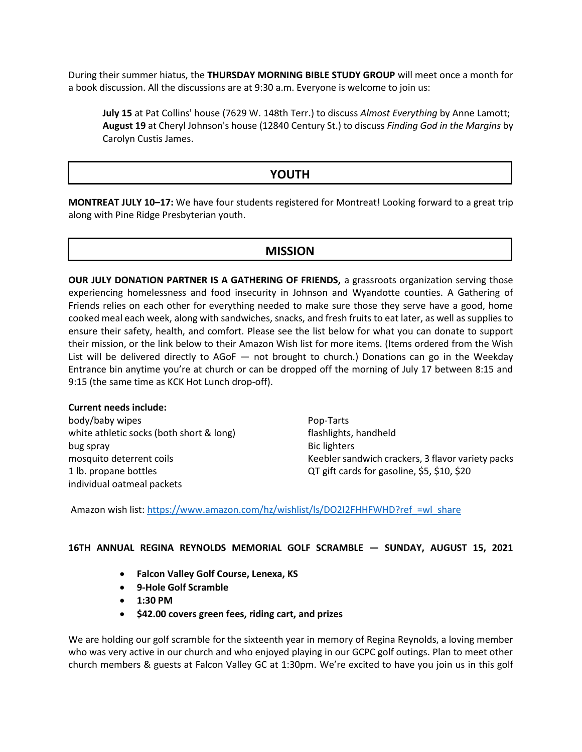During their summer hiatus, the **THURSDAY MORNING BIBLE STUDY GROUP** will meet once a month for a book discussion. All the discussions are at 9:30 a.m. Everyone is welcome to join us:

**July 15** at Pat Collins' house (7629 W. 148th Terr.) to discuss *Almost Everything* by Anne Lamott; **August 19** at Cheryl Johnson's house (12840 Century St.) to discuss *Finding God in the Margins* by Carolyn Custis James.

### **YOUTH**

**MONTREAT JULY 10–17:** We have four students registered for Montreat! Looking forward to a great trip along with Pine Ridge Presbyterian youth.

#### **MISSION**

**OUR JULY DONATION PARTNER IS A GATHERING OF FRIENDS, a grassroots organization serving those** experiencing homelessness and food insecurity in Johnson and Wyandotte counties. A Gathering of Friends relies on each other for everything needed to make sure those they serve have a good, home cooked meal each week, along with sandwiches, snacks, and fresh fruits to eat later, as well as supplies to ensure their safety, health, and comfort. Please see the list below for what you can donate to support their mission, or the link below to their Amazon Wish list for more items. (Items ordered from the Wish List will be delivered directly to AGoF — not brought to church.) Donations can go in the Weekday Entrance bin anytime you're at church or can be dropped off the morning of July 17 between 8:15 and 9:15 (the same time as KCK Hot Lunch drop-off).

#### **Current needs include:**

body/baby wipes white athletic socks (both short & long) bug spray mosquito deterrent coils 1 lb. propane bottles individual oatmeal packets

Pop-Tarts flashlights, handheld Bic lighters Keebler sandwich crackers, 3 flavor variety packs QT gift cards for gasoline, \$5, \$10, \$20

Amazon wish list: https://www.amazon.com/hz/wishlist/ls/DO2I2FHHFWHD?ref =wl\_share

#### **16TH ANNUAL REGINA REYNOLDS MEMORIAL GOLF SCRAMBLE — SUNDAY, AUGUST 15, 2021**

- **Falcon Valley Golf Course, Lenexa, KS**
- **9-Hole Golf Scramble**
- **1:30 PM**
- **\$42.00 covers green fees, riding cart, and prizes**

We are holding our golf scramble for the sixteenth year in memory of Regina Reynolds, a loving member who was very active in our church and who enjoyed playing in our GCPC golf outings. Plan to meet other church members & guests at Falcon Valley GC at 1:30pm. We're excited to have you join us in this golf